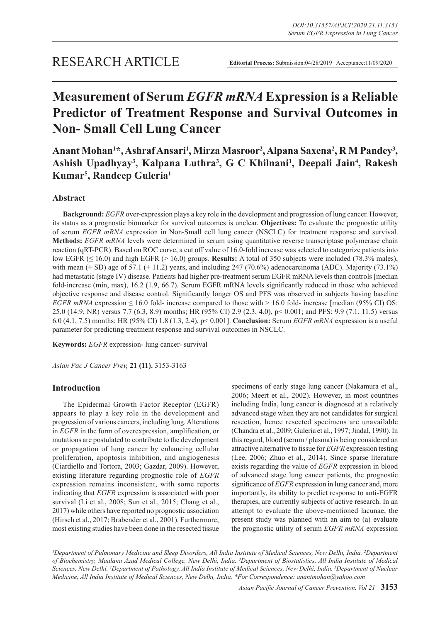# **Measurement of Serum** *EGFR mRNA* **Expression is a Reliable Predictor of Treatment Response and Survival Outcomes in Non- Small Cell Lung Cancer**

Anant Mohan<sup>1\*</sup>, Ashraf Ansari<sup>1</sup>, Mirza Masroor<sup>2</sup>, Alpana Saxena<sup>2</sup>, R M Pandey<sup>3</sup>, Ashish Upadhyay<sup>3</sup>, Kalpana Luthra<sup>3</sup>, G C Khilnani<sup>1</sup>, Deepali Jain<sup>4</sup>, Rakesh **Kumar5 , Randeep Guleria1**

# **Abstract**

**Background:** *EGFR* over-expression plays a key role in the development and progression of lung cancer. However, its status as a prognostic biomarker for survival outcomes is unclear. **Objectives:** To evaluate the prognostic utility of serum *EGFR mRNA* expression in Non-Small cell lung cancer (NSCLC) for treatment response and survival. **Methods:** *EGFR mRNA* levels were determined in serum using quantitative reverse transcriptase polymerase chain reaction (qRT-PCR). Based on ROC curve, a cut off value of 16.0-fold increase was selected to categorize patients into low EGFR (≤ 16.0) and high EGFR (> 16.0) groups. **Results:** A total of 350 subjects were included (78.3% males), with mean  $(\pm$  SD) age of 57.1  $(\pm$  11.2) years, and including 247 (70.6%) adenocarcinoma (ADC). Majority (73.1%) had metastatic (stage IV) disease. Patients had higher pre-treatment serum EGFR mRNA levels than controls [median fold-increase (min, max), 16.2 (1.9, 66.7). Serum EGFR mRNA levels significantly reduced in those who achieved objective response and disease control. Significantly longer OS and PFS was observed in subjects having baseline *EGFR mRNA* expression  $\leq 16.0$  fold- increase compared to those with  $> 16.0$  fold- increase [median (95% CI) OS: 25.0 (14.9, NR) versus 7.7 (6.3, 8.9) months; HR (95% CI) 2.9 (2.3, 4.0), p< 0.001; and PFS: 9.9 (7.1, 11.5) versus 6.0 (4.1, 7.5) months; HR (95% CI) 1.8 (1.3, 2.4), p< 0.001]. **Conclusion:** Serum *EGFR mRNA* expression is a useful parameter for predicting treatment response and survival outcomes in NSCLC.

**Keywords:** *EGFR* expression- lung cancer- survival

*Asian Pac J Cancer Prev,* **21 (11)**, 3153-3163

## **Introduction**

The Epidermal Growth Factor Receptor (EGFR) appears to play a key role in the development and progression of various cancers, including lung. Alterations in *EGFR* in the form of overexpression, amplification, or mutations are postulated to contribute to the development or propagation of lung cancer by enhancing cellular proliferation, apoptosis inhibition, and angiogenesis (Ciardiello and Tortora, 2003; Gazdar, 2009). However, existing literature regarding prognostic role of *EGFR*  expression remains inconsistent, with some reports indicating that *EGFR* expression is associated with poor survival (Li et al., 2008; Sun et al., 2015; Chang et al., 2017) while others have reported no prognostic association (Hirsch et al., 2017; Brabender et al., 2001). Furthermore, most existing studies have been done in the resected tissue

specimens of early stage lung cancer (Nakamura et al., 2006; Meert et al., 2002). However, in most countries including India, lung cancer is diagnosed at a relatively advanced stage when they are not candidates for surgical resection, hence resected specimens are unavailable (Chandra et al., 2009; Guleria et al., 1997; Jindal, 1990). In this regard, blood (serum / plasma) is being considered an attractive alternative to tissue for *EGFR* expression testing (Lee, 2006; Zhuo et al., 2014). Since sparse literature exists regarding the value of *EGFR* expression in blood of advanced stage lung cancer patients, the prognostic significance of *EGFR* expression in lung cancer and, more importantly, its ability to predict response to anti-EGFR therapies, are currently subjects of active research. In an attempt to evaluate the above-mentioned lacunae, the present study was planned with an aim to (a) evaluate the prognostic utility of serum *EGFR mRNA* expression

<sup>1</sup>Department of Pulmonary Medicine and Sleep Disorders, All India Institute of Medical Sciences, New Delhi, India. <sup>2</sup>Department *of Biochemistry, Maulana Azad Medical College, New Delhi, India. 3 Department of Biostatistics, All India Institute of Medical Sciences, New Delhi. 4 Department of Pathology, All India Institute of Medical Sciences, New Delhi, India. 5 Department of Nuclear Medicine, All India Institute of Medical Sciences, New Delhi, India. \*For Correspondence: anantmohan@yahoo.com*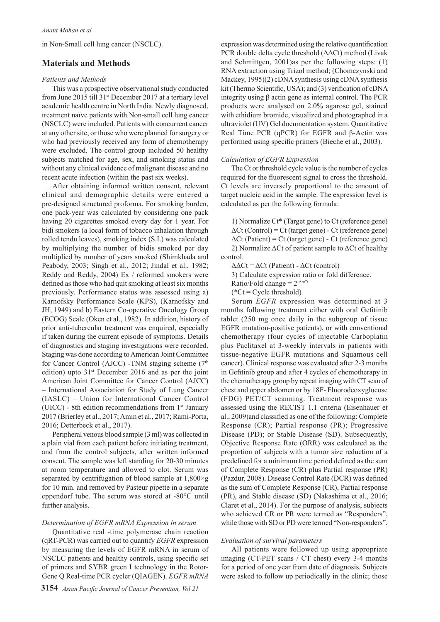in Non-Small cell lung cancer (NSCLC).

## **Materials and Methods**

#### *Patients and Methods*

This was a prospective observational study conducted from June 2015 till 31st December 2017 at a tertiary level academic health centre in North India. Newly diagnosed, treatment naïve patients with Non-small cell lung cancer (NSCLC) were included. Patients with concurrent cancer at any other site, or those who were planned for surgery or who had previously received any form of chemotherapy were excluded. The control group included 50 healthy subjects matched for age, sex, and smoking status and without any clinical evidence of malignant disease and no recent acute infection (within the past six weeks).

After obtaining informed written consent, relevant clinical and demographic details were entered a pre-designed structured proforma. For smoking burden, one pack-year was calculated by considering one pack having 20 cigarettes smoked every day for 1 year. For bidi smokers (a local form of tobacco inhalation through rolled tendu leaves), smoking index (S.I.) was calculated by multiplying the number of bidis smoked per day multiplied by number of years smoked (Shimkhada and Peabody, 2003; Singh et al., 2012; Jindal et al., 1982; Reddy and Reddy, 2004) Ex / reformed smokers were defined as those who had quit smoking at least six months previously. Performance status was assessed using a) Karnofsky Performance Scale (KPS), (Karnofsky and JH, 1949) and b) Eastern Co-operative Oncology Group (ECOG) Scale (Oken et al., 1982). In addition, history of prior anti-tubercular treatment was enquired, especially if taken during the current episode of symptoms. Details of diagnostics and staging investigations were recorded. Staging was done according to American Joint Committee for Cancer Control (AJCC) -TNM staging scheme  $(7<sup>th</sup>$ edition) upto  $31<sup>st</sup>$  December 2016 and as per the joint American Joint Committee for Cancer Control (AJCC) – International Association for Study of Lung Cancer (IASLC) – Union for International Cancer Control (UICC) - 8th edition recommendations from  $1<sup>st</sup>$  January 2017 (Brierley et al., 2017; Amin et al., 2017; Rami-Porta, 2016; Detterbeck et al., 2017).

Peripheral venous blood sample (3 ml) was collected in a plain vial from each patient before initiating treatment, and from the control subjects, after written informed consent. The sample was left standing for 20-30 minutes at room temperature and allowed to clot. Serum was separated by centrifugation of blood sample at  $1,800 \times g$ for 10 min. and removed by Pasteur pipette in a separate eppendorf tube. The serum was stored at -80°C until further analysis.

#### *Determination of EGFR mRNA Expression in serum*

Quantitative real -time polymerase chain reaction (qRT-PCR) was carried out to quantify *EGFR* expression by measuring the levels of EGFR mRNA in serum of NSCLC patients and healthy controls, using specific set of primers and SYBR green I technology in the Rotor-Gene Q Real-time PCR cycler (QIAGEN). *EGFR mRNA* 

expression was determined using the relative quantification PCR double delta cycle threshold (ΔΔCt) method (Livak and Schmittgen, 2001)as per the following steps: (1) RNA extraction using Trizol method; (Chomczynski and Mackey, 1995)(2) cDNA synthesis using cDNA synthesis kit (Thermo Scientific, USA); and (3) verification of cDNA integrity using β actin gene as internal control. The PCR products were analysed on 2.0% agarose gel, stained with ethidium bromide, visualized and photographed in a ultraviolet (UV) Gel documentation system. Quantitative Real Time PCR (qPCR) for EGFR and β-Actin was performed using specific primers (Bieche et al., 2003).

#### *Calculation of EGFR Expression*

The Ct or threshold cycle value is the number of cycles required for the fluorescent signal to cross the threshold. Ct levels are inversely proportional to the amount of target nucleic acid in the sample. The expression level is calculated as per the following formula:

1) Normalize Ct\* (Target gene) to Ct (reference gene)  $\Delta$ Ct (Control) = Ct (target gene) - Ct (reference gene)  $\Delta$ Ct (Patient) = Ct (target gene) - Ct (reference gene) 2) Normalize  $\Delta$ Ct of patient sample to  $\Delta$ Ct of healthy control.

 $\Delta \Delta \text{C}t = \Delta \text{C}t$  (Patient) -  $\Delta \text{C}t$  (control)

3) Calculate expression ratio or fold difference.

Ratio/Fold change  $= 2$ <sup>- $\triangle \triangle Ct$ </sup>

 $(*Ct = Cycle threshold)$ 

Serum *EGFR* expression was determined at 3 months following treatment either with oral Gefitinib tablet (250 mg once daily in the subgroup of tissue EGFR mutation-positive patients), or with conventional chemotherapy (four cycles of injectable Carboplatin plus Paclitaxel at 3-weekly intervals in patients with tissue-negative EGFR mutations and Squamous cell cancer). Clinical response was evaluated after 2-3 months in Gefitinib group and after 4 cycles of chemotherapy in the chemotherapy group by repeat imaging with CT scan of chest and upper abdomen or by 18F- Fluorodeoxyglucose (FDG) PET/CT scanning. Treatment response was assessed using the RECIST 1.1 criteria (Eisenhauer et al., 2009)and classified as one of the following: Complete Response (CR); Partial response (PR); Progressive Disease (PD); or Stable Disease (SD). Subsequently, Objective Response Rate (ORR) was calculated as the proportion of subjects with a tumor size reduction of a predefined for a minimum time period defined as the sum of Complete Response (CR) plus Partial response (PR) (Pazdur, 2008). Disease Control Rate (DCR) was defined as the sum of Complete Response (CR), Partial response (PR), and Stable disease (SD) (Nakashima et al., 2016; Claret et al., 2014). For the purpose of analysis, subjects who achieved CR or PR were termed as "Responders". while those with SD or PD were termed "Non-responders".

#### *Evaluation of survival parameters*

All patients were followed up using appropriate imaging (CT-PET scans / CT chest) every 3-4 months for a period of one year from date of diagnosis. Subjects were asked to follow up periodically in the clinic; those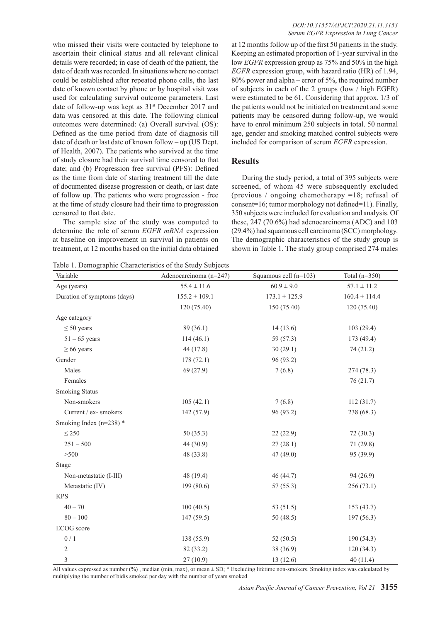who missed their visits were contacted by telephone to ascertain their clinical status and all relevant clinical details were recorded; in case of death of the patient, the date of death was recorded. In situations where no contact could be established after repeated phone calls, the last date of known contact by phone or by hospital visit was used for calculating survival outcome parameters. Last date of follow-up was kept as  $31<sup>st</sup>$  December 2017 and data was censored at this date. The following clinical outcomes were determined: (a) Overall survival (OS): Defined as the time period from date of diagnosis till date of death or last date of known follow – up (US Dept. of Health, 2007). The patients who survived at the time of study closure had their survival time censored to that date; and (b) Progression free survival (PFS): Defined as the time from date of starting treatment till the date of documented disease progression or death, or last date of follow up. The patients who were progression - free at the time of study closure had their time to progression censored to that date.

The sample size of the study was computed to determine the role of serum *EGFR mRNA* expression at baseline on improvement in survival in patients on treatment, at 12 months based on the initial data obtained

*DOI:10.31557/APJCP.2020.21.11.3153 Serum EGFR Expression in Lung Cancer*

at 12 months follow up of the first 50 patients in the study. Keeping an estimated proportion of 1-year survival in the low *EGFR* expression group as 75% and 50% in the high *EGFR* expression group, with hazard ratio (HR) of 1.94, 80% power and alpha – error of 5%, the required number of subjects in each of the 2 groups (low / high EGFR) were estimated to be 61. Considering that approx. 1/3 of the patients would not be initiated on treatment and some patients may be censored during follow-up, we would have to enrol minimum 250 subjects in total. 50 normal age, gender and smoking matched control subjects were included for comparison of serum *EGFR* expression.

## **Results**

During the study period, a total of 395 subjects were screened, of whom 45 were subsequently excluded (previous / ongoing chemotherapy =18; refusal of consent=16; tumor morphology not defined=11). Finally, 350 subjects were included for evaluation and analysis. Of these, 247 (70.6%) had adenocarcinoma (ADC) and 103 (29.4%) had squamous cell carcinoma (SCC) morphology. The demographic characteristics of the study group is shown in Table 1. The study group comprised 274 males

Table 1. Demographic Characteristics of the Study Subjects

| Variable                    | Adenocarcinoma (n=247) | Squamous cell (n=103) | Total $(n=350)$   |
|-----------------------------|------------------------|-----------------------|-------------------|
| Age (years)                 | $55.4 \pm 11.6$        | $60.9 \pm 9.0$        | $57.1 \pm 11.2$   |
| Duration of symptoms (days) | $155.2 \pm 109.1$      | $173.1 \pm 125.9$     | $160.4 \pm 114.4$ |
|                             | 120(75.40)             | 150 (75.40)           | 120(75.40)        |
| Age category                |                        |                       |                   |
| $\leq 50$ years             | 89(36.1)               | 14(13.6)              | 103(29.4)         |
| $51 - 65$ years             | 114(46.1)              | 59 (57.3)             | 173(49.4)         |
| $\geq 66$ years             | 44 (17.8)              | 30(29.1)              | 74(21.2)          |
| Gender                      | 178(72.1)              | 96 (93.2)             |                   |
| Males                       | 69(27.9)               | 7(6.8)                | 274 (78.3)        |
| Females                     |                        |                       | 76(21.7)          |
| <b>Smoking Status</b>       |                        |                       |                   |
| Non-smokers                 | 105(42.1)              | 7(6.8)                | 112(31.7)         |
| Current / ex- smokers       | 142 (57.9)             | 96 (93.2)             | 238 (68.3)        |
| Smoking Index ( $n=238$ ) * |                        |                       |                   |
| $\leq$ 250                  | 50(35.3)               | 22(22.9)              | 72(30.3)          |
| $251 - 500$                 | 44 (30.9)              | 27(28.1)              | 71 (29.8)         |
| > 500                       | 48 (33.8)              | 47(49.0)              | 95 (39.9)         |
| Stage                       |                        |                       |                   |
| Non-metastatic (I-III)      | 48 (19.4)              | 46 (44.7)             | 94 (26.9)         |
| Metastatic (IV)             | 199 (80.6)             | 57(55.3)              | 256(73.1)         |
| <b>KPS</b>                  |                        |                       |                   |
| $40 - 70$                   | 100(40.5)              | 53 $(51.5)$           | 153(43.7)         |
| $80 - 100$                  | 147(59.5)              | 50(48.5)              | 197(56.3)         |
| ECOG score                  |                        |                       |                   |
| 0/1                         | 138 (55.9)             | 52(50.5)              | 190(54.3)         |
| $\overline{2}$              | 82 (33.2)              | 38 (36.9)             | 120(34.3)         |
| 3                           | 27(10.9)               | 13(12.6)              | 40(11.4)          |

All values expressed as number (%) , median (min, max), or mean ± SD; \* Excluding lifetime non-smokers. Smoking index was calculated by multiplying the number of bidis smoked per day with the number of years smoked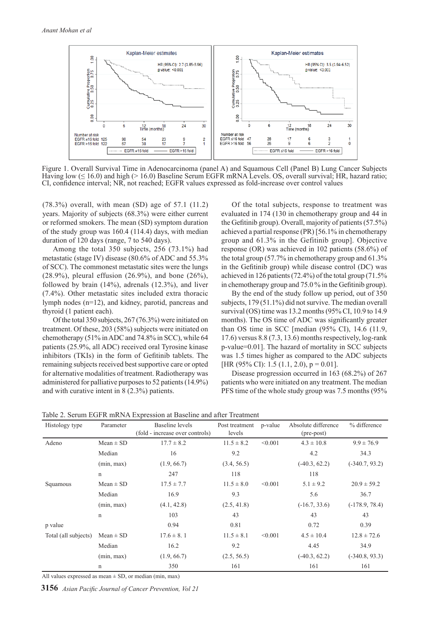

Figure 1. Overall Survival Time in Adenocarcinoma (panel A) and Squamous Cell (Panel B) Lung Cancer Subjects Having low (≤ 16.0) and high (> 16.0) Baseline Serum EGFR mRNA Levels. OS, overall survival; HR, hazard ratio; CI, confidence interval; NR, not reached; EGFR values expressed as fold-increase over control values

(78.3%) overall, with mean (SD) age of 57.1 (11.2) years. Majority of subjects (68.3%) were either current or reformed smokers. The mean (SD) symptom duration of the study group was 160.4 (114.4) days, with median duration of 120 days (range, 7 to 540 days).

Among the total 350 subjects, 256 (73.1%) had metastatic (stage IV) disease (80.6% of ADC and 55.3% of SCC). The commonest metastatic sites were the lungs (28.9%), pleural effusion (26.9%), and bone (26%), followed by brain (14%), adrenals (12.3%), and liver (7.4%). Other metastatic sites included extra thoracic lymph nodes (n=12), and kidney, parotid, pancreas and thyroid (1 patient each).

Of the total 350 subjects, 267 (76.3%) were initiated on treatment. Of these, 203 (58%) subjects were initiated on chemotherapy (51% in ADC and 74.8% in SCC), while 64 patients (25.9%, all ADC) received oral Tyrosine kinase inhibitors (TKIs) in the form of Gefitinib tablets. The remaining subjects received best supportive care or opted for alternative modalities of treatment. Radiotherapy was administered for palliative purposes to 52 patients (14.9%) and with curative intent in 8 (2.3%) patients.

Of the total subjects, response to treatment was evaluated in 174 (130 in chemotherapy group and 44 in the Gefitinib group). Overall, majority of patients (57.5%) achieved a partial response (PR) [56.1% in chemotherapy group and 61.3% in the Gefitinib group]. Objective response (OR) was achieved in 102 patients (58.6%) of the total group (57.7% in chemotherapy group and 61.3% in the Gefitinib group) while disease control (DC) was achieved in 126 patients (72.4%) of the total group (71.5% in chemotherapy group and 75.0 % in the Gefitinib group).

By the end of the study follow up period, out of 350 subjects, 179 (51.1%) did not survive. The median overall survival (OS) time was 13.2 months (95% CI, 10.9 to 14.9 months). The OS time of ADC was significantly greater than OS time in SCC [median (95% CI), 14.6 (11.9, 17.6) versus 8.8 (7.3, 13.6) months respectively, log-rank p-value=0.01]. The hazard of mortality in SCC subjects was 1.5 times higher as compared to the ADC subjects [HR (95% CI): 1.5 (1.1, 2.0),  $p = 0.01$ ].

Disease progression occurred in 163 (68.2%) of 267 patients who were initiated on any treatment. The median PFS time of the whole study group was 7.5 months (95%

| Histology type       | Parameter     | Baseline levels<br>(fold - increase over controls) | Post treatment<br>levels | p-value | Absolute difference<br>(pre-post) | % difference     |
|----------------------|---------------|----------------------------------------------------|--------------------------|---------|-----------------------------------|------------------|
| Adeno                | $Mean \pm SD$ | $17.7 \pm 8.2$                                     | $11.5 \pm 8.2$           | < 0.001 | $4.3 \pm 10.8$                    | $9.9 \pm 76.9$   |
|                      | Median        | 16                                                 | 9.2                      |         | 4.2                               | 34.3             |
|                      | (min, max)    | (1.9, 66.7)                                        | (3.4, 56.5)              |         | $(-40.3, 62.2)$                   | $(-340.7, 93.2)$ |
|                      | $\mathbf n$   | 247                                                | 118                      |         | 118                               |                  |
| Squamous             | $Mean \pm SD$ | $17.5 \pm 7.7$                                     | $11.5 \pm 8.0$           | < 0.001 | $5.1 \pm 9.2$                     | $20.9 \pm 59.2$  |
|                      | Median        | 16.9                                               | 9.3                      |         | 5.6                               | 36.7             |
|                      | (min, max)    | (4.1, 42.8)                                        | (2.5, 41.8)              |         | $(-16.7, 33.6)$                   | $(-178.9, 78.4)$ |
|                      | $\mathbf n$   | 103                                                | 43                       |         | 43                                | 43               |
| p value              |               | 0.94                                               | 0.81                     |         | 0.72                              | 0.39             |
| Total (all subjects) | $Mean \pm SD$ | $17.6 \pm 8.1$                                     | $11.5 \pm 8.1$           | < 0.001 | $4.5 \pm 10.4$                    | $12.8 \pm 72.6$  |
|                      | Median        | 16.2                                               | 9.2                      |         | 4.45                              | 34.9             |
|                      | (min, max)    | (1.9, 66.7)                                        | (2.5, 56.5)              |         | $(-40.3, 62.2)$                   | $(-340.8, 93.3)$ |
|                      | $\mathsf{n}$  | 350                                                | 161                      |         | 161                               | 161              |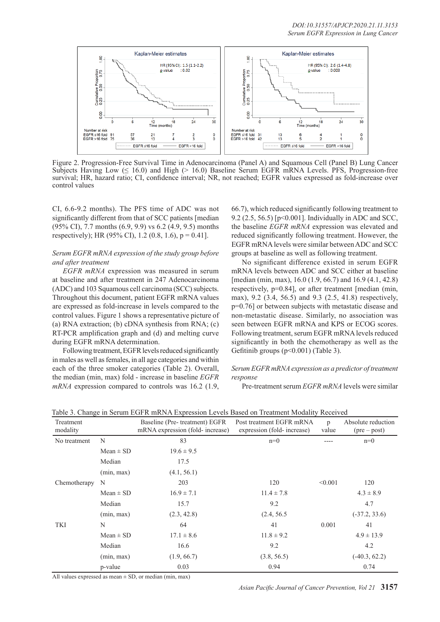

Figure 2. Progression-Free Survival Time in Adenocarcinoma (Panel A) and Squamous Cell (Panel B) Lung Cancer Subjects Having Low  $(≤ 16.0)$  and High  $(≥ 16.0)$  Baseline Serum EGFR mRNA Levels. PFS, Progression-free survival; HR, hazard ratio; CI, confidence interval; NR, not reached; EGFR values expressed as fold-increase over control values

CI, 6.6-9.2 months). The PFS time of ADC was not significantly different from that of SCC patients [median (95% CI), 7.7 months (6.9, 9.9) vs 6.2 (4.9, 9.5) months respectively); HR (95% CI), 1.2 (0.8, 1.6),  $p = 0.41$ ].

## *Serum EGFR mRNA expression of the study group before and after treatment*

*EGFR mRNA* expression was measured in serum at baseline and after treatment in 247 Adenocarcinoma (ADC) and 103 Squamous cell carcinoma (SCC) subjects. Throughout this document, patient EGFR mRNA values are expressed as fold-increase in levels compared to the control values. Figure 1 shows a representative picture of (a) RNA extraction; (b) cDNA synthesis from RNA; (c) RT-PCR amplification graph and (d) and melting curve during EGFR mRNA determination.

Following treatment, EGFR levels reduced significantly in males as well as females, in all age categories and within each of the three smoker categories (Table 2). Overall, the median (min, max) fold - increase in baseline *EGFR mRNA* expression compared to controls was 16.2 (1.9,

66.7), which reduced significantly following treatment to 9.2 (2.5, 56.5) [p<0.001]. Individually in ADC and SCC, the baseline *EGFR mRNA* expression was elevated and reduced significantly following treatment. However, the EGFR mRNA levels were similar between ADC and SCC groups at baseline as well as following treatment.

No significant difference existed in serum EGFR mRNA levels between ADC and SCC either at baseline [median (min, max), 16.0 (1.9, 66.7) and 16.9 (4.1, 42.8) respectively, p=0.84], or after treatment [median (min, max), 9.2 (3.4, 56.5) and 9.3 (2.5, 41.8) respectively, p=0.76] or between subjects with metastatic disease and non-metastatic disease. Similarly, no association was seen between EGFR mRNA and KPS or ECOG scores. Following treatment, serum EGFR mRNA levels reduced significantly in both the chemotherapy as well as the Gefitinib groups (p<0.001) (Table 3).

### *Serum EGFR mRNA expression as a predictor of treatment response*

Pre-treatment serum *EGFR mRNA* levels were similar

| Treatment<br>modality |               | Baseline (Pre-treatment) EGFR<br>mRNA expression (fold- increase) | Post treatment EGFR mRNA<br>expression (fold-increase) | p<br>value | Absolute reduction<br>$(\text{pre} - \text{post})$ |
|-----------------------|---------------|-------------------------------------------------------------------|--------------------------------------------------------|------------|----------------------------------------------------|
| No treatment          | N             | 83                                                                | $n=0$                                                  |            | $n=0$                                              |
|                       | $Mean \pm SD$ | $19.6 \pm 9.5$                                                    |                                                        |            |                                                    |
|                       | Median        | 17.5                                                              |                                                        |            |                                                    |
|                       | (min, max)    | (4.1, 56.1)                                                       |                                                        |            |                                                    |
| Chemotherapy          | N             | 203                                                               | 120                                                    | < 0.001    | 120                                                |
|                       | $Mean \pm SD$ | $16.9 \pm 7.1$                                                    | $11.4 \pm 7.8$                                         |            | $4.3 \pm 8.9$                                      |
|                       | Median        | 15.7                                                              | 9.2                                                    |            | 4.7                                                |
|                       | (min, max)    | (2.3, 42.8)                                                       | (2.4, 56.5)                                            |            | $(-37.2, 33.6)$                                    |
| TKI                   | N             | 64                                                                | 41                                                     | 0.001      | 41                                                 |
|                       | $Mean \pm SD$ | $17.1 \pm 8.6$                                                    | $11.8 \pm 9.2$                                         |            | $4.9 \pm 13.9$                                     |
|                       | Median        | 16.6                                                              | 9.2                                                    |            | 4.2                                                |
|                       | (min, max)    | (1.9, 66.7)                                                       | (3.8, 56.5)                                            |            | $(-40.3, 62.2)$                                    |
|                       | p-value       | 0.03                                                              | 0.94                                                   |            | 0.74                                               |

Table 3. Change in Serum EGFR mRNA Expression Levels Based on Treatment Modality Received

All values expressed as mean  $\pm$  SD, or median (min, max)

*Asian Pacific Journal of Cancer Prevention, Vol 21* **3157**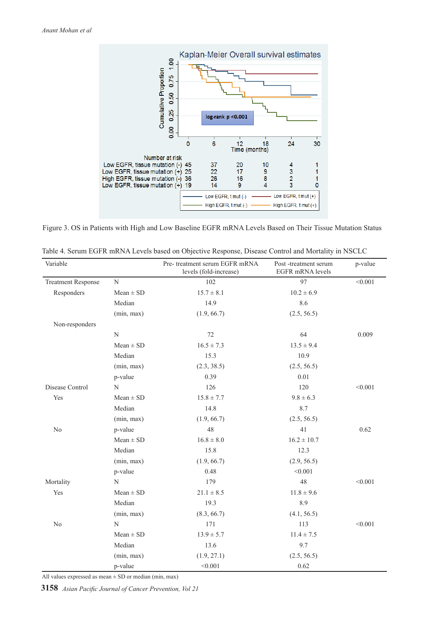

Figure 3. OS in Patients with High and Low Baseline EGFR mRNA Levels Based on Their Tissue Mutation Status

| Variable                  |               | Pre- treatment serum EGFR mRNA<br>levels (fold-increase) | Post-treatment serum<br>EGFR mRNA levels | p-value |
|---------------------------|---------------|----------------------------------------------------------|------------------------------------------|---------|
| <b>Treatment Response</b> | N             | 102                                                      | 97                                       | < 0.001 |
| Responders                | $Mean \pm SD$ | $15.7 \pm 8.1$                                           | $10.2 \pm 6.9$                           |         |
|                           | Median        | 14.9                                                     | 8.6                                      |         |
|                           | (min, max)    | (1.9, 66.7)                                              | (2.5, 56.5)                              |         |
| Non-responders            |               |                                                          |                                          |         |
|                           | $\mathbf N$   | 72                                                       | 64                                       | 0.009   |
|                           | $Mean \pm SD$ | $16.5 \pm 7.3$                                           | $13.5 \pm 9.4$                           |         |
|                           | Median        | 15.3                                                     | 10.9                                     |         |
|                           | (min, max)    | (2.3, 38.5)                                              | (2.5, 56.5)                              |         |
|                           | p-value       | 0.39                                                     | 0.01                                     |         |
| Disease Control           | N             | 126                                                      | 120                                      | < 0.001 |
| Yes                       | $Mean \pm SD$ | $15.8 \pm 7.7$                                           | $9.8 \pm 6.3$                            |         |
|                           | Median        | 14.8                                                     | 8.7                                      |         |
|                           | (min, max)    | (1.9, 66.7)                                              | (2.5, 56.5)                              |         |
| N <sub>0</sub>            | p-value       | 48                                                       | 41                                       | 0.62    |
|                           | $Mean \pm SD$ | $16.8 \pm 8.0$                                           | $16.2 \pm 10.7$                          |         |
|                           | Median        | 15.8                                                     | 12.3                                     |         |
|                           | (min, max)    | (1.9, 66.7)                                              | (2.9, 56.5)                              |         |
|                           | p-value       | 0.48                                                     | < 0.001                                  |         |
| Mortality                 | N             | 179                                                      | 48                                       | < 0.001 |
| Yes                       | $Mean \pm SD$ | $21.1 \pm 8.5$                                           | $11.8 \pm 9.6$                           |         |
|                           | Median        | 19.3                                                     | 8.9                                      |         |
|                           | (min, max)    | (8.3, 66.7)                                              | (4.1, 56.5)                              |         |
| $\rm No$                  | N             | 171                                                      | 113                                      | < 0.001 |
|                           | $Mean \pm SD$ | $13.9 \pm 5.7$                                           | $11.4 \pm 7.5$                           |         |
|                           | Median        | 13.6                                                     | 9.7                                      |         |
|                           | (min, max)    | (1.9, 27.1)                                              | (2.5, 56.5)                              |         |
|                           | p-value       | < 0.001                                                  | 0.62                                     |         |

| Table 4. Serum EGFR mRNA Levels based on Objective Response, Disease Control and Mortality in NSCLC |  |  |  |  |  |  |  |  |  |  |  |  |  |  |  |  |  |  |  |  |  |  |  |  |  |  |  |  |  |  |  |  |  |  |  |  |  |  |  |  |  |  |  |  |  |  |  |  |  |  |  |  |  |  |  |  |  |  |  |  |  |  |  |  |  |  |  |  |  |  |  |  |  |  |  |  |  |  |  |  |  |  |  |  |  |  |  |  |  |  |  |  |  |  |  |  |  |  |  |  |  |  |  |  |  |  |  |  |  |  |  |  |  |  |  |  |  |  |  |  |  |  |  |  |  |  |  |  |  |  |  |  |  |  |  |  |  |  |  |  |  |  |  |  |  |  |
|-----------------------------------------------------------------------------------------------------|--|--|--|--|--|--|--|--|--|--|--|--|--|--|--|--|--|--|--|--|--|--|--|--|--|--|--|--|--|--|--|--|--|--|--|--|--|--|--|--|--|--|--|--|--|--|--|--|--|--|--|--|--|--|--|--|--|--|--|--|--|--|--|--|--|--|--|--|--|--|--|--|--|--|--|--|--|--|--|--|--|--|--|--|--|--|--|--|--|--|--|--|--|--|--|--|--|--|--|--|--|--|--|--|--|--|--|--|--|--|--|--|--|--|--|--|--|--|--|--|--|--|--|--|--|--|--|--|--|--|--|--|--|--|--|--|--|--|--|--|--|--|--|--|--|--|
|-----------------------------------------------------------------------------------------------------|--|--|--|--|--|--|--|--|--|--|--|--|--|--|--|--|--|--|--|--|--|--|--|--|--|--|--|--|--|--|--|--|--|--|--|--|--|--|--|--|--|--|--|--|--|--|--|--|--|--|--|--|--|--|--|--|--|--|--|--|--|--|--|--|--|--|--|--|--|--|--|--|--|--|--|--|--|--|--|--|--|--|--|--|--|--|--|--|--|--|--|--|--|--|--|--|--|--|--|--|--|--|--|--|--|--|--|--|--|--|--|--|--|--|--|--|--|--|--|--|--|--|--|--|--|--|--|--|--|--|--|--|--|--|--|--|--|--|--|--|--|--|--|--|--|--|

All values expressed as mean  $\pm$  SD or median (min, max)

**3158** *Asian Pacific Journal of Cancer Prevention, Vol 21*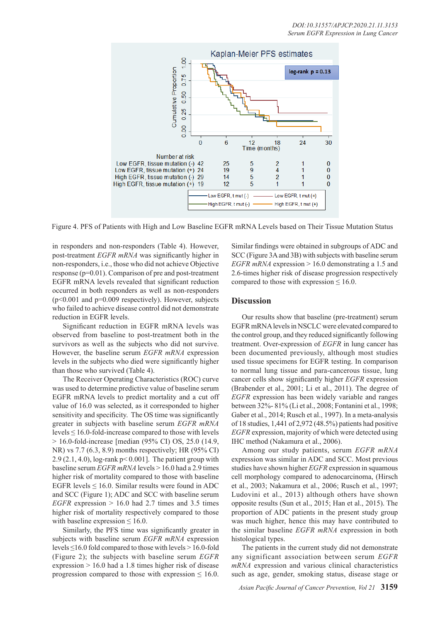

Figure 4. PFS of Patients with High and Low Baseline EGFR mRNA Levels based on Their Tissue Mutation Status

in responders and non-responders (Table 4). However, post-treatment *EGFR mRNA* was significantly higher in non-responders, i.e., those who did not achieve Objective response (p=0.01). Comparison of pre and post-treatment EGFR mRNA levels revealed that significant reduction occurred in both responders as well as non-responders (p<0.001 and p=0.009 respectively). However, subjects who failed to achieve disease control did not demonstrate reduction in EGFR levels.

Significant reduction in EGFR mRNA levels was observed from baseline to post-treatment both in the survivors as well as the subjects who did not survive. However, the baseline serum *EGFR mRNA* expression levels in the subjects who died were significantly higher than those who survived (Table 4).

The Receiver Operating Characteristics (ROC) curve was used to determine predictive value of baseline serum EGFR mRNA levels to predict mortality and a cut off value of 16.0 was selected, as it corresponded to higher sensitivity and specificity. The OS time was significantly greater in subjects with baseline serum *EGFR mRNA*  $levels \leq 16.0$ -fold-increase compared to those with levels  $> 16.0$ -fold-increase [median (95% CI) OS, 25.0 (14.9, NR) vs 7.7 (6.3, 8.9) months respectively; HR (95% CI) 2.9 (2.1, 4.0), log-rank  $p < 0.001$ . The patient group with baseline serum *EGFR mRNA* levels > 16.0 had a 2.9 times higher risk of mortality compared to those with baseline EGFR levels  $\leq 16.0$ . Similar results were found in ADC and SCC (Figure 1); ADC and SCC with baseline serum *EGFR* expression  $> 16.0$  had 2.7 times and 3.5 times higher risk of mortality respectively compared to those with baseline expression  $\leq 16.0$ .

Similarly, the PFS time was significantly greater in subjects with baseline serum *EGFR mRNA* expression levels ≤16.0 fold compared to those with levels > 16.0-fold (Figure 2); the subjects with baseline serum *EGFR* expression > 16.0 had a 1.8 times higher risk of disease progression compared to those with expression  $\leq 16.0$ .

Similar findings were obtained in subgroups of ADC and SCC (Figure 3A and 3B) with subjects with baseline serum *EGFR mRNA* expression > 16.0 demonstrating a 1.5 and 2.6-times higher risk of disease progression respectively compared to those with expression  $\leq 16.0$ .

## **Discussion**

Our results show that baseline (pre-treatment) serum EGFR mRNA levels in NSCLC were elevated compared to the control group, and they reduced significantly following treatment. Over-expression of *EGFR* in lung cancer has been documented previously, although most studies used tissue specimens for EGFR testing. In comparison to normal lung tissue and para-cancerous tissue, lung cancer cells show significantly higher *EGFR* expression (Brabender et al., 2001; Li et al., 2011). The degree of *EGFR* expression has been widely variable and ranges between 32%- 81% (Li et al., 2008; Fontanini et al., 1998; Gaber et al., 2014; Rusch et al., 1997). In a meta-analysis of 18 studies, 1,441 of 2,972 (48.5%) patients had positive *EGFR* expression, majority of which were detected using IHC method (Nakamura et al., 2006).

Among our study patients, serum *EGFR mRNA*  expression was similar in ADC and SCC. Most previous studies have shown higher *EGFR* expression in squamous cell morphology compared to adenocarcinoma, (Hirsch et al., 2003; Nakamura et al., 2006; Rusch et al., 1997; Ludovini et al., 2013) although others have shown opposite results (Sun et al., 2015; Han et al., 2015). The proportion of ADC patients in the present study group was much higher, hence this may have contributed to the similar baseline *EGFR mRNA* expression in both histological types.

The patients in the current study did not demonstrate any significant association between serum *EGFR mRNA* expression and various clinical characteristics such as age, gender, smoking status, disease stage or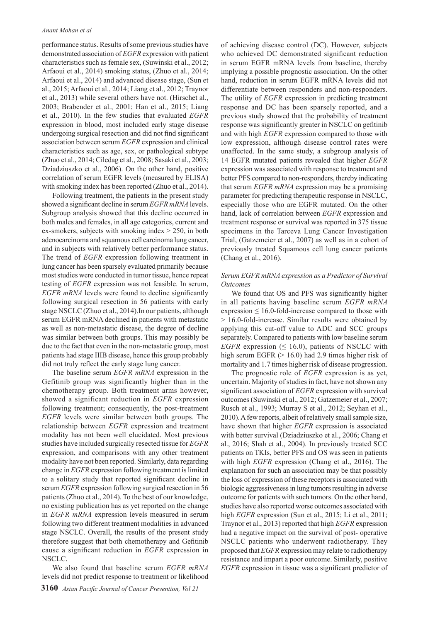#### *Anant Mohan et al*

performance status. Results of some previous studies have demonstrated association of *EGFR* expression with patient characteristics such as female sex, (Suwinski et al., 2012; Arfaoui et al., 2014) smoking status, (Zhuo et al., 2014; Arfaoui et al., 2014) and advanced disease stage, (Sun et al., 2015; Arfaoui et al., 2014; Liang et al., 2012; Traynor et al., 2013) while several others have not. (Hirschet al., 2003; Brabender et al., 2001; Han et al., 2015; Liang et al., 2010). In the few studies that evaluated *EGFR* expression in blood, most included early stage disease undergoing surgical resection and did not find significant association between serum *EGFR* expression and clinical characteristics such as age, sex, or pathological subtype (Zhuo et al., 2014; Ciledag et al., 2008; Sasaki et al., 2003; Dziadziuszko et al., 2006). On the other hand, positive correlation of serum EGFR levels (measured by ELISA) with smoking index has been reported (Zhuo et al., 2014).

Following treatment, the patients in the present study showed a significant decline in serum *EGFR mRNA* levels. Subgroup analysis showed that this decline occurred in both males and females, in all age categories, current and ex-smokers, subjects with smoking index  $> 250$ , in both adenocarcinoma and squamous cell carcinoma lung cancer, and in subjects with relatively better performance status. The trend of *EGFR* expression following treatment in lung cancer has been sparsely evaluated primarily because most studies were conducted in tumor tissue, hence repeat testing of *EGFR* expression was not feasible. In serum, *EGFR mRNA* levels were found to decline significantly following surgical resection in 56 patients with early stage NSCLC (Zhuo et al., 2014).In our patients, although serum EGFR mRNA declined in patients with metastatic as well as non-metastatic disease, the degree of decline was similar between both groups. This may possibly be due to the fact that even in the non-metastatic group, most patients had stage IIIB disease, hence this group probably did not truly reflect the early stage lung cancer.

The baseline serum *EGFR mRNA* expression in the Gefitinib group was significantly higher than in the chemotherapy group. Both treatment arms however, showed a significant reduction in *EGFR* expression following treatment; consequently, the post-treatment *EGFR* levels were similar between both groups. The relationship between *EGFR* expression and treatment modality has not been well elucidated. Most previous studies have included surgically resected tissue for *EGFR* expression, and comparisons with any other treatment modality have not been reported. Similarly, data regarding change in *EGFR* expression following treatment is limited to a solitary study that reported significant decline in serum *EGFR* expression following surgical resection in 56 patients (Zhuo et al., 2014). To the best of our knowledge, no existing publication has as yet reported on the change in *EGFR mRNA* expression levels measured in serum following two different treatment modalities in advanced stage NSCLC. Overall, the results of the present study therefore suggest that both chemotherapy and Gefitinib cause a significant reduction in *EGFR* expression in NSCLC.

We also found that baseline serum *EGFR mRNA* levels did not predict response to treatment or likelihood of achieving disease control (DC). However, subjects who achieved DC demonstrated significant reduction in serum EGFR mRNA levels from baseline, thereby implying a possible prognostic association. On the other hand, reduction in serum EGFR mRNA levels did not differentiate between responders and non-responders. The utility of *EGFR* expression in predicting treatment response and DC has been sparsely reported, and a previous study showed that the probability of treatment response was significantly greater in NSCLC on gefitinib and with high *EGFR* expression compared to those with low expression, although disease control rates were unaffected. In the same study, a subgroup analysis of 14 EGFR mutated patients revealed that higher *EGFR* expression was associated with response to treatment and better PFS compared to non-responders, thereby indicating that serum *EGFR mRNA* expression may be a promising parameter for predicting therapeutic response in NSCLC, especially those who are EGFR mutated. On the other hand, lack of correlation between *EGFR* expression and treatment response or survival was reported in 375 tissue specimens in the Tarceva Lung Cancer Investigation Trial, (Gatzemeier et al., 2007) as well as in a cohort of previously treated Squamous cell lung cancer patients (Chang et al., 2016).

#### *Serum EGFR mRNA expression as a Predictor of Survival Outcomes*

We found that OS and PFS was significantly higher in all patients having baseline serum *EGFR mRNA* expression  $\leq 16.0$ -fold-increase compared to those with > 16.0-fold-increase. Similar results were obtained by applying this cut-off value to ADC and SCC groups separately. Compared to patients with low baseline serum *EGFR* expression ( $\leq 16.0$ ), patients of NSCLC with high serum EGFR ( $> 16.0$ ) had 2.9 times higher risk of mortality and 1.7 times higher risk of disease progression.

The prognostic role of *EGFR* expression is as yet, uncertain. Majority of studies in fact, have not shown any significant association of *EGFR* expression with survival outcomes (Suwinski et al., 2012; Gatzemeier et al., 2007; Rusch et al., 1993; Murray S et al., 2012; Seyhan et al., 2010). A few reports, albeit of relatively small sample size, have shown that higher *EGFR* expression is associated with better survival (Dziadziuszko et al., 2006; Chang et al., 2016; Shah et al., 2004). In previously treated SCC patients on TKIs, better PFS and OS was seen in patients with high *EGFR* expression (Chang et al., 2016). The explanation for such an association may be that possibly the loss of expression of these receptors is associated with biologic aggressiveness in lung tumors resulting in adverse outcome for patients with such tumors. On the other hand, studies have also reported worse outcomes associated with high *EGFR* expression (Sun et al., 2015; Li et al., 2011; Traynor et al., 2013) reported that high *EGFR* expression had a negative impact on the survival of post- operative NSCLC patients who underwent radiotherapy. They proposed that *EGFR* expression may relate to radiotherapy resistance and impart a poor outcome. Similarly, positive *EGFR* expression in tissue was a significant predictor of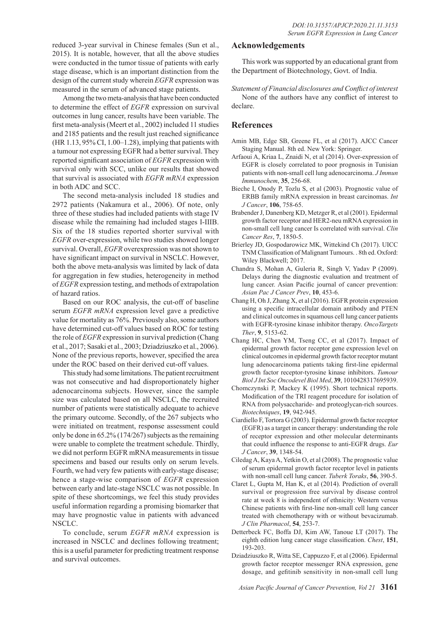reduced 3-year survival in Chinese females (Sun et al., 2015). It is notable, however, that all the above studies were conducted in the tumor tissue of patients with early stage disease, which is an important distinction from the design of the current study wherein *EGFR* expression was measured in the serum of advanced stage patients.

Among the two meta-analysis that have been conducted to determine the effect of *EGFR* expression on survival outcomes in lung cancer, results have been variable. The first meta-analysis (Meert et al., 2002) included 11 studies and 2185 patients and the result just reached significance (HR 1.13, 95% CI, 1.00–1.28), implying that patients with a tumour not expressing EGFR had a better survival. They reported significant association of *EGFR* expression with survival only with SCC, unlike our results that showed that survival is associated with *EGFR mRNA* expression in both ADC and SCC.

The second meta-analysis included 18 studies and 2972 patients (Nakamura et al., 2006). Of note, only three of these studies had included patients with stage IV disease while the remaining had included stages I-IIIB. Six of the 18 studies reported shorter survival with *EGFR* over-expression, while two studies showed longer survival. Overall, *EGFR* overexpression was not shown to have significant impact on survival in NSCLC. However, both the above meta-analysis was limited by lack of data for aggregation in few studies, heterogeneity in method of *EGFR* expression testing, and methods of extrapolation of hazard ratios.

Based on our ROC analysis, the cut-off of baseline serum *EGFR mRNA* expression level gave a predictive value for mortality as 76%. Previously also, some authors have determined cut-off values based on ROC for testing the role of *EGFR* expression in survival prediction (Chang et al., 2017; Sasaki et al., 2003; Dziadziuszko et al., 2006). None of the previous reports, however, specified the area under the ROC based on their derived cut-off values.

This study had some limitations. The patient recruitment was not consecutive and had disproportionately higher adenocarcinoma subjects. However, since the sample size was calculated based on all NSCLC, the recruited number of patients were statistically adequate to achieve the primary outcome. Secondly, of the 267 subjects who were initiated on treatment, response assessment could only be done in 65.2% (174/267) subjects as the remaining were unable to complete the treatment schedule. Thirdly, we did not perform EGFR mRNA measurements in tissue specimens and based our results only on serum levels. Fourth, we had very few patients with early-stage disease; hence a stage-wise comparison of *EGFR* expression between early and late-stage NSCLC was not possible. In spite of these shortcomings, we feel this study provides useful information regarding a promising biomarker that may have prognostic value in patients with advanced NSCLC.

To conclude, serum *EGFR mRNA* expression is increased in NSCLC and declines following treatment; this is a useful parameter for predicting treatment response and survival outcomes.

## **Acknowledgements**

This work was supported by an educational grant from the Department of Biotechnology, Govt. of India.

*Statement of Financial disclosures and Conflict of interest*

None of the authors have any conflict of interest to declare.

# **References**

- Amin MB, Edge SB, Greene FL, et al (2017). AJCC Cancer Staging Manual. 8th ed. New York: Springer.
- Arfaoui A, Kriaa L, Znaidi N, et al (2014). Over-expression of EGFR is closely correlated to poor prognosis in Tunisian patients with non-small cell lung adenocarcinoma. *J Immun Immunochem*, **35**, 256-68.
- Bieche I, Onody P, Tozlu S, et al (2003). Prognostic value of ERBB family mRNA expression in breast carcinomas. *Int J Cancer*, **106**, 758-65.
- Brabender J, Danenberg KD, Metzger R, et al (2001). Epidermal growth factor receptor and HER2-neu mRNA expression in non-small cell lung cancer Is correlated with survival. *Clin Cancer Res*, **7**, 1850-5.
- Brierley JD, Gospodarowicz MK, Wittekind Ch (2017). UICC TNM Classification of Malignant Tumours. . 8th ed. Oxford: Wiley Blackwell; 2017.
- Chandra S, Mohan A, Guleria R, Singh V, Yadav P (2009). Delays during the diagnostic evaluation and treatment of lung cancer. Asian Pacific journal of cancer prevention: *Asian Pac J Cancer Prev*, **10**, 453-6.
- Chang H, Oh J, Zhang X, et al (2016). EGFR protein expression using a specific intracellular domain antibody and PTEN and clinical outcomes in squamous cell lung cancer patients with EGFR-tyrosine kinase inhibitor therapy. *OncoTargets Ther*, **9**, 5153-62.
- Chang HC, Chen YM, Tseng CC, et al (2017). Impact of epidermal growth factor receptor gene expression level on clinical outcomes in epidermal growth factor receptor mutant lung adenocarcinoma patients taking first-line epidermal growth factor receptor-tyrosine kinase inhibitors. *Tumour Biol J Int Soc Oncodevel Biol Med*, **39**, 1010428317695939.
- Chomczynski P, Mackey K (1995). Short technical reports. Modification of the TRI reagent procedure for isolation of RNA from polysaccharide- and proteoglycan-rich sources. *Biotechniques*, **19**, 942-945.
- Ciardiello F, Tortora G (2003). Epidermal growth factor receptor (EGFR) as a target in cancer therapy: understanding the role of receptor expression and other molecular determinants that could influence the response to anti-EGFR drugs. *Eur J Cancer*, **39**, 1348-54.
- Ciledag A, Kaya A, Yetkin O, et al (2008). The prognostic value of serum epidermal growth factor receptor level in patients with non-small cell lung cancer. *Tuberk Toraks*, **56**, 390-5.
- Claret L, Gupta M, Han K, et al (2014). Prediction of overall survival or progression free survival by disease control rate at week 8 is independent of ethnicity: Western versus Chinese patients with first-line non-small cell lung cancer treated with chemotherapy with or without bevacizumab. *J Clin Pharmacol*, **54**, 253-7.
- Detterbeck FC, Boffa DJ, Kim AW, Tanoue LT (2017). The eighth edition lung cancer stage classification. *Chest*, **151**, 193-203.
- Dziadziuszko R, Witta SE, Cappuzzo F, et al (2006). Epidermal growth factor receptor messenger RNA expression, gene dosage, and gefitinib sensitivity in non-small cell lung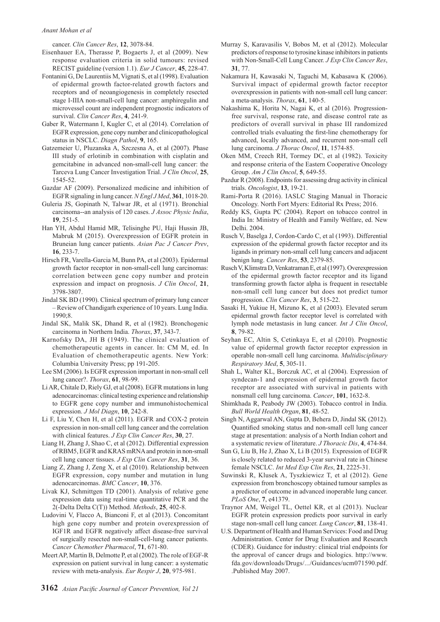cancer. *Clin Cancer Res*, **12**, 3078-84.

- Eisenhauer EA, Therasse P, Bogaerts J, et al (2009). New response evaluation criteria in solid tumours: revised RECIST guideline (version 1.1). *Eur J Cancer*, **45**, 228-47.
- Fontanini G, De Laurentiis M, Vignati S, et al (1998). Evaluation of epidermal growth factor-related growth factors and receptors and of neoangiogenesis in completely resected stage I-IIIA non-small-cell lung cancer: amphiregulin and microvessel count are independent prognostic indicators of survival. *Clin Cancer Res*, **4**, 241-9.
- Gaber R, Watermann I, Kugler C, et al (2014). Correlation of EGFR expression, gene copy number and clinicopathological status in NSCLC. *Diagn Pathol*, **9**, 165.
- Gatzemeier U, Pluzanska A, Szczesna A, et al (2007). Phase III study of erlotinib in combination with cisplatin and gemcitabine in advanced non-small-cell lung cancer: the Tarceva Lung Cancer Investigation Trial. *J Clin Oncol*, **25**, 1545-52.
- Gazdar AF (2009). Personalized medicine and inhibition of EGFR signaling in lung cancer. *N Engl J Med*, **361**, 1018-20.
- Guleria JS, Gopinath N, Talwar JR, et al (1971). Bronchial carcinoma--an analysis of 120 cases. *J Assoc Physic India*, **19**, 251-5.
- Han YH, Abdul Hamid MR, Telisinghe PU, Haji Hussin JB, Mabruk M (2015). Overexpression of EGFR protein in Bruneian lung cancer patients. *Asian Pac J Cancer Prev*, **16**, 233-7.
- Hirsch FR, Varella-Garcia M, Bunn PA, et al (2003). Epidermal growth factor receptor in non-small-cell lung carcinomas: correlation between gene copy number and protein expression and impact on prognosis. *J Clin Oncol*, **21**, 3798-3807.
- Jindal SK BD (1990). Clinical spectrum of primary lung cancer – Review of Chandigarh experience of 10 years. Lung India. 1990;8.
- Jindal SK, Malik SK, Dhand R, et al (1982). Bronchogenic carcinoma in Northern India. *Thorax*, **37**, 343-7.
- Karnofsky DA, JH B (1949). The clinical evaluation of chemotherapeutic agents in cancer. In: CM M, ed. In Evaluation of chemotherapeutic agents. New York: Columbia University Press; pp 191-205.
- Lee SM (2006). Is EGFR expression important in non-small cell lung cancer?. *Thorax*, **61**, 98-99.
- Li AR, Chitale D, Riely GJ, et al (2008). EGFR mutations in lung adenocarcinomas: clinical testing experience and relationship to EGFR gene copy number and immunohistochemical expression. *J Mol Diagn*, **10**, 242-8.
- Li F, Liu Y, Chen H, et al (2011). EGFR and COX-2 protein expression in non-small cell lung cancer and the correlation with clinical features. *J Exp Clin Cancer Res*, **30**, 27.
- Liang H, Zhang J, Shao C, et al (2012). Differential expression of RBM5, EGFR and KRAS mRNA and protein in non-small cell lung cancer tissues. *J Exp Clin Cancer Res*, **31**, 36.
- Liang Z, Zhang J, Zeng X, et al (2010). Relationship between EGFR expression, copy number and mutation in lung adenocarcinomas. *BMC Cancer*, **10**, 376.
- Livak KJ, Schmittgen TD (2001). Analysis of relative gene expression data using real-time quantitative PCR and the 2(-Delta Delta C(T)) Method. *Methods*, **25**, 402-8.
- Ludovini V, Flacco A, Bianconi F, et al (2013). Concomitant high gene copy number and protein overexpression of IGF1R and EGFR negatively affect disease-free survival of surgically resected non-small-cell-lung cancer patients. *Cancer Chemother Pharmacol*, **71**, 671-80.
- Meert AP, Martin B, Delmotte P, et al (2002). The role of EGF-R expression on patient survival in lung cancer: a systematic review with meta-analysis. *Eur Respir J*, **20**, 975-981.
- Murray S, Karavasilis V, Bobos M, et al (2012). Molecular predictors of response to tyrosine kinase inhibitors in patients with Non-Small-Cell Lung Cancer. *J Exp Clin Cancer Res*, **31**, 77.
- Nakamura H, Kawasaki N, Taguchi M, Kabasawa K (2006). Survival impact of epidermal growth factor receptor overexpression in patients with non-small cell lung cancer: a meta-analysis. *Thorax*, **61**, 140-5.
- Nakashima K, Horita N, Nagai K, et al (2016). Progressionfree survival, response rate, and disease control rate as predictors of overall survival in phase III randomized controlled trials evaluating the first-line chemotherapy for advanced, locally advanced, and recurrent non-small cell lung carcinoma. *J Thorac Oncol*, **11**, 1574-85.
- Oken MM, Creech RH, Tormey DC, et al (1982). Toxicity and response criteria of the Eastern Cooperative Oncology Group. *Am J Clin Oncol*, **5**, 649-55.
- Pazdur R (2008). Endpoints for assessing drug activity in clinical trials. *Oncologist*, **13**, 19-21.
- Rami-Porta R (2016). IASLC Staging Manual in Thoracic Oncology. North Fort Myers: Editorial Rx Press; 2016.
- Reddy KS, Gupta PC (2004). Report on tobacco control in India In: Ministry of Health and Family Welfare, ed. New Delhi. 2004.
- Rusch V, Baselga J, Cordon-Cardo C, et al (1993). Differential expression of the epidermal growth factor receptor and its ligands in primary non-small cell lung cancers and adjacent benign lung. *Cancer Res*, **53**, 2379-85.
- Rusch V, Klimstra D, Venkatraman E, et al (1997). Overexpression of the epidermal growth factor receptor and its ligand transforming growth factor alpha is frequent in resectable non-small cell lung cancer but does not predict tumor progression. *Clin Cancer Res*, **3**, 515-22.
- Sasaki H, Yukiue H, Mizuno K, et al (2003). Elevated serum epidermal growth factor receptor level is correlated with lymph node metastasis in lung cancer. *Int J Clin Oncol*, **8**, 79-82.
- Seyhan EC, Altin S, Cetinkaya E, et al (2010). Prognostic value of epidermal growth factor receptor expression in operable non-small cell lung carcinoma. *Multidisciplinary Respiratory Med*, **5**, 305-11.
- Shah L, Walter KL, Borczuk AC, et al (2004). Expression of syndecan-1 and expression of epidermal growth factor receptor are associated with survival in patients with nonsmall cell lung carcinoma. *Cancer*, **101**, 1632-8.
- Shimkhada R, Peabody JW (2003). Tobacco control in India. *Bull World Health Organ*, **81**, 48-52.
- Singh N, Aggarwal AN, Gupta D, Behera D, Jindal SK (2012). Quantified smoking status and non-small cell lung cancer stage at presentation: analysis of a North Indian cohort and a systematic review of literature. *J Thoracic Dis*, **4**, 474-84.
- Sun G, Liu B, He J, Zhao X, Li B (2015). Expression of EGFR is closely related to reduced 3-year survival rate in Chinese female NSCLC. *Int Med Exp Clin Res*, **21**, 2225-31.
- Suwinski R, Klusek A, Tyszkiewicz T, et al (2012). Gene expression from bronchoscopy obtained tumour samples as a predictor of outcome in advanced inoperable lung cancer. *PLoS One*, **7**, e41379.
- Traynor AM, Weigel TL, Oettel KR, et al (2013). Nuclear EGFR protein expression predicts poor survival in early stage non-small cell lung cancer. *Lung Cancer*, **81**, 138-41.
- U.S. Department of Health and Human Services: Food and Drug Administration. Center for Drug Evaluation and Research (CDER). Guidance for industry: clinical trial endpoints for the approval of cancer drugs and biologics. http://www. fda.gov/downloads/Drugs/.../Guidances/ucm071590.pdf. .Published May 2007.